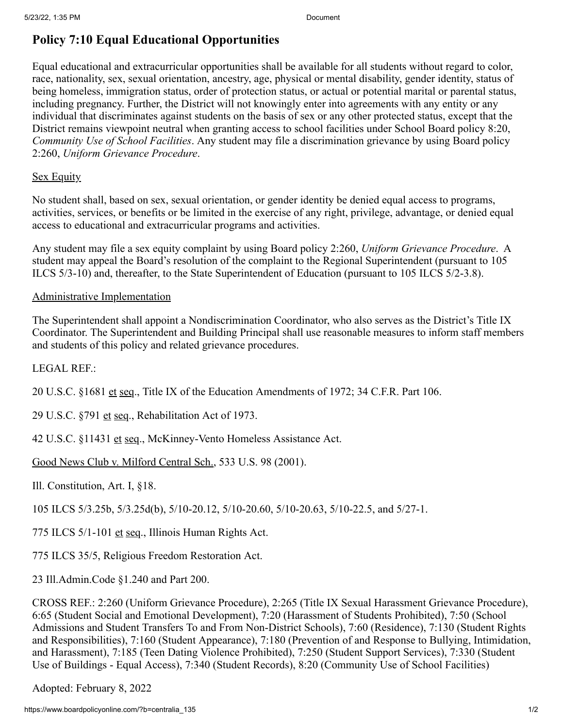## **Policy 7:10 Equal Educational Opportunities**

Equal educational and extracurricular opportunities shall be available for all students without regard to color, race, nationality, sex, sexual orientation, ancestry, age, physical or mental disability, gender identity, status of being homeless, immigration status, order of protection status, or actual or potential marital or parental status, including pregnancy. Further, the District will not knowingly enter into agreements with any entity or any individual that discriminates against students on the basis of sex or any other protected status, except that the District remains viewpoint neutral when granting access to school facilities under School Board policy 8:20, *Community Use of School Facilities*. Any student may file a discrimination grievance by using Board policy 2:260, *Uniform Grievance Procedure*.

## Sex Equity

No student shall, based on sex, sexual orientation, or gender identity be denied equal access to programs, activities, services, or benefits or be limited in the exercise of any right, privilege, advantage, or denied equal access to educational and extracurricular programs and activities.

Any student may file a sex equity complaint by using Board policy 2:260, *Uniform Grievance Procedure*. A student may appeal the Board's resolution of the complaint to the Regional Superintendent (pursuant to 105 ILCS 5/3-10) and, thereafter, to the State Superintendent of Education (pursuant to 105 ILCS 5/2-3.8).

## Administrative Implementation

The Superintendent shall appoint a Nondiscrimination Coordinator, who also serves as the District's Title IX Coordinator. The Superintendent and Building Principal shall use reasonable measures to inform staff members and students of this policy and related grievance procedures.

## LEGAL REF.:

20 U.S.C. §1681 et seq., Title IX of the Education Amendments of 1972; 34 C.F.R. Part 106.

29 U.S.C. §791 et seq., Rehabilitation Act of 1973.

42 U.S.C. §11431 et seq., McKinney-Vento Homeless Assistance Act.

Good News Club v. Milford Central Sch., 533 U.S. 98 (2001).

Ill. Constitution, Art. I, §18.

105 ILCS 5/3.25b, 5/3.25d(b), 5/10-20.12, 5/10-20.60, 5/10-20.63, 5/10-22.5, and 5/27-1.

775 ILCS 5/1-101 et seq., Illinois Human Rights Act.

775 ILCS 35/5, Religious Freedom Restoration Act.

23 Ill.Admin.Code §1.240 and Part 200.

CROSS REF.: 2:260 (Uniform Grievance Procedure), 2:265 (Title IX Sexual Harassment Grievance Procedure), 6:65 (Student Social and Emotional Development), 7:20 (Harassment of Students Prohibited), 7:50 (School Admissions and Student Transfers To and From Non-District Schools), 7:60 (Residence), 7:130 (Student Rights and Responsibilities), 7:160 (Student Appearance), 7:180 (Prevention of and Response to Bullying, Intimidation, and Harassment), 7:185 (Teen Dating Violence Prohibited), 7:250 (Student Support Services), 7:330 (Student Use of Buildings - Equal Access), 7:340 (Student Records), 8:20 (Community Use of School Facilities)

Adopted: February 8, 2022